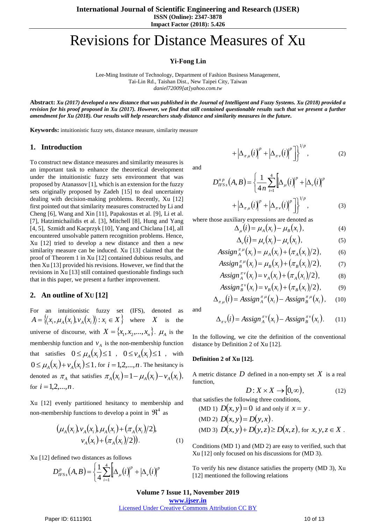#### **Impact Factor (2018): 5.426**

# Revisions for Distance Measures of Xu

# **Yi-Fong Lin**

Lee-Ming Institute of Technology, Department of Fashion Business Management, Tai-Lin Rd., Taishan Dist., New Taipei City, Taiwan *daniel72009[at]yahoo.com.tw*

**Abstract:** *Xu (2017) developed a new distance that was published in the Journal of Intelligent and Fuzzy Systems. Xu (2018) provided a revision for his proof proposed in Xu (2017). However, we find that still contained questionable results such that we present a further amendment for Xu (2018). Our results will help researchers study distance and similarity measures in the future.*

**Keywords:** intuitionistic fuzzy sets, distance measure, similarity measure

# **1. Introduction**

To construct new distance measures and similarity measures is an important task to enhance the theoretical development under the intuitionistic fuzzy sets environment that was proposed by Atanassov [1], which is an extension for the fuzzy sets originally proposed by Zadeh [15] to deal uncertainty dealing with decision-making problems. Recently, Xu [12] first pointed out that similarity measures constructed by Li and Cheng [6], Wang and Xin [11], Papakostas et al. [9], Li et al. [7], Hatzimichailidis et al. [3], Mitchell [8], Hung and Yang [4, 5], Szmidt and Kacprzyk [10], Yang and Chiclana [14], all encountered unsolvable pattern recognition problems. Hence, Xu [12] tried to develop a new distance and then a new similarity measure can be induced. Xu [13] claimed that the proof of Theorem 1 in Xu [12] contained dubious results, and then Xu [13] provided his revisions. However, we find that the revisions in Xu [13] still contained questionable findings such that in this paper, we present a further improvement.

# **2. An outline of XU [12]**

For an intuitionistic fuzzy set (IFS), denoted  $A = \{(x_i, \mu_A(x_i), v_A(x_i)) : x_i \in X\}$  where X the universe of discourse, with  $X = \{x_1, x_2, ..., x_n\}$ .  $\mu_A$  is the membership function and  $v_A$  is the non-membership function that satisfies  $0 \le \mu_A(x_i) \le 1$ ,  $0 \le \nu_A(x_i) \le 1$ , with  $0 \leq \mu_A(x_i) + \nu_A(x_i) \leq 1$ , for  $i = 1,2,...,n$ . The hesitancy is denoted as  $\pi_A$  that satisfies  $\pi_A(x_i) = 1 - \mu_A(x_i) - \nu_A(x_i)$ , for  $i = 1, 2, ..., n$ .

Xu [12] evenly partitioned hesitancy to membership and non-membership functions to develop a point in  $\mathfrak{R}^4$  as

$$
(\mu_A(x_i), \nu_A(x_i), \mu_A(x_i) + (\pi_A(x_i)/2),
$$
  

$$
\nu_A(x_i) + (\pi_A(x_i)/2)).
$$
 (1)

Xu [12] defined two distances as follows

$$
D_{HSS}^{p}(A,B) = \left\{\frac{1}{4}\sum_{i=1}^{4} \left[\Delta_{\mu}(i)\right]^{p} + \left|\Delta_{\nu}(i)\right|^{p}\right\}
$$

and

$$
+\left|\Delta_{\pi\mu}(i)\right|^p+\left|\Delta_{\pi\nu}(i)\right|^p\left|\right|^{1/p},\tag{2}
$$

$$
D_{IFSS}^{n p}(A,B) = \left\{ \frac{1}{4 n} \sum_{i=1}^{4} \left[ \Delta_{\mu}(i) \right]^{p} + \left| \Delta_{\nu}(i) \right|^{p} + \left| \Delta_{\pi\mu}(i) \right|^{p} + \left| \Delta_{\pi\nu}(i) \right|^{p} \right\}^{1/p},
$$
\n(3)

where those auxiliary expressions are denoted as

$$
\Delta_{\mu}(i) = \mu_A(x_i) - \mu_B(x_i), \qquad (4)
$$

$$
\Delta_{\nu}(i) = \mu_{\nu}(x_i) - \mu_{\nu}(x_i), \tag{5}
$$

$$
Assign_A^{\pi\mu}(x_i) = \mu_A(x_i) + (\pi_A(x_i)/2), \tag{6}
$$

$$
Assign_B^{\pi \mu}(x_i) = \mu_B(x_i) + (\pi_B(x_i)/2), \tag{7}
$$

$$
Assign_A^{\pi \nu}(x_i) = \nu_A(x_i) + (\pi_A(x_i)/2), \tag{8}
$$

$$
Assign_B^{\pi \nu}(x_i) = \nu_B(x_i) + (\pi_B(x_i)/2),\tag{9}
$$

$$
\Delta_{\pi\mu}(i) = \text{Assign}_{A}^{\pi\mu}(x_i) - \text{Assign}_{B}^{\pi\mu}(x_i), \quad (10)
$$

and

$$
\Delta_{\pi\nu}(i) = Assign_{A}^{\pi\nu}(x_i) - Assign_{B}^{\pi\nu}(x_i). \qquad (11)
$$

In the following, we cite the definition of the conventional distance by Definition 2 of Xu [12].

#### **Definition 2 of Xu [12].**

A metric distance *D* defined in a non-empty set *X* is a real function,

$$
D: X \times X \to [0, \infty), \tag{12}
$$

that satisfies the following three conditions,  
\n(MD 1) 
$$
D(x, y) = 0
$$
 id and only if  $x = y$ .  
\n(MD 2)  $D(x, y) = D(y, x)$ .  
\n(MD 3)  $D(x, y) + D(y, z) \ge D(x, z)$ , for  $x, y, z \in X$ .

Conditions (MD 1) and (MD 2) are easy to verified, such that Xu [12] only focused on his discussions for (MD 3).

To verify his new distance satisfies the property (MD 3), Xu [12] mentioned the following relations

#### **Volume 7 Issue 11, November 2019**

**www.ijser.in**

Licensed Under Creative Commons Attribution CC BY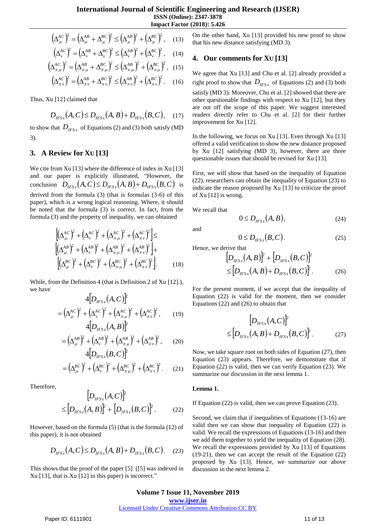$$
\left(\Delta_{\mu}^{AC}\right)^2 = \left(\Delta_{\mu}^{AB} + \Delta_{\mu}^{BC}\right)^2 \le \left(\Delta_{\mu}^{AB}\right)^2 + \left(\Delta_{\mu}^{BC}\right)^2, \quad (13)
$$

$$
\left(\Delta_v^{AC}\right)^2 = \left(\Delta_v^{AB} + \Delta_v^{BC}\right)^2 \le \left(\Delta_v^{AB}\right)^2 + \left(\Delta_v^{BC}\right)^2, \quad (14)
$$

$$
\left(\Delta_{\pi\,\mu}^{AC}\right)^2 = \left(\Delta_{\pi\,\mu}^{AB} + \Delta_{\pi\,\mu}^{BC}\right)^2 \le \left(\Delta_{\pi\,\mu}^{AB}\right)^2 + \left(\Delta_{\pi\,\mu}^{BC}\right)^2, \quad (15)
$$

$$
\left(\Delta_{\pi\nu}^{AC}\right)^2 = \left(\Delta_{\pi\nu}^{AB} + \Delta_{\pi\nu}^{BC}\right)^2 \le \left(\Delta_{\pi\nu}^{AB}\right)^2 + \left(\Delta_{\pi\nu}^{BC}\right)^2. \tag{16}
$$

Thus, Xu [12] claimed that

$$
D_{IFSS}(A,C) \le D_{IFSS}(A,B) + D_{IFSS}(B,C), \quad (17)
$$

to show that  $D_{HSS}$  of Equations (2) and (3) both satisfy (MD 3).

### **3. A Review for XU [13]**

 $\left\{\alpha_{ij}^{(n)}\right\} = \left\{\alpha_{ij}^{(n)} + \alpha_{ij}^{(n)}\right\} \leq \left\{\alpha_{ij}^{(n)}\right\} + \left\{\alpha_{ij}^{(n)}\right\}$ , (13) then the new distance subset<br> $\left\{\alpha_{ij}^{(n)}\right\} = \left\{\alpha_{ij}^{(n)} + \alpha_{ij}^{(n)}\right\} \leq \left\{\alpha_{ij}^{(n)}\right\} + \left\{\alpha_{ij}^{(n)}\right\}$ , (14) **4.** Our comment We cite from Xu [13] where the difference of index in Xu [13] and our paper is explicitly illustrated, "However, the conclusion  $D_{HFSs}(A, C) \le D_{HFSs}(A, B) + D_{HFSs}(B, C)$  is derived from the formula (3) (that is formulas (3-6) of this paper), which is a wrong logical reasoning. Where, it should be noted that the formula (3) is correct. In fact, from the formula (3) and the property of inequality, we can obtained

$$
\left[ \left( \Delta_{\mu}^{AC} \right)^{2} + \left( \Delta_{\nu}^{AC} \right)^{2} + \left( \Delta_{\pi\mu}^{AC} \right)^{2} + \left( \Delta_{\pi\nu}^{AC} \right)^{2} \right] \le
$$
\n
$$
\left[ \left( \Delta_{\mu}^{AB} \right)^{2} + \left( \Delta_{\nu}^{AB} \right)^{2} + \left( \Delta_{\pi\mu}^{AB} \right)^{2} + \left( \Delta_{\pi\nu}^{AB} \right)^{2} \right] + \left[ \left( \Delta_{\mu}^{BC} \right)^{2} + \left( \Delta_{\pi\nu}^{BC} \right)^{2} + \left( \Delta_{\pi\mu}^{BC} \right)^{2} + \left( \Delta_{\pi\nu}^{BC} \right)^{2} \right]. \tag{18}
$$

While, from the Definition 4 (that is Definition 2 of Xu [12].), we have  $\sqrt{2}$ 

$$
4[D_{HSS}(A, C)]^{2}
$$
  
=  $(\Delta_{\mu}^{AC})^{2} + (\Delta_{\nu}^{AC})^{2} + (\Delta_{\pi\mu}^{AC})^{2} + (\Delta_{\pi\nu}^{AC})^{2}$ , (19)

$$
4[D_{HFS}(A,B)]^{2}
$$
  
=  $(\Delta_{\mu}^{AB})^{2} + (\Delta_{\nu}^{AB})^{2} + (\Delta_{\pi\mu}^{AB})^{2} + (\Delta_{\pi\nu}^{AB})^{2}$ , (20)

$$
4[D_{HSS}(B,C)]^p
$$
  
=  $(\Delta_{\mu}^{BC})^2 + (\Delta_{\nu}^{BC})^2 + (\Delta_{\pi\mu}^{BC})^2 + (\Delta_{\pi\nu}^{BC})^2$ . (21)

Therefore,

$$
[D_{HSS}(A,C)]^{2}
$$
  

$$
\leq [D_{HSS}(A,B)]^{2} + [D_{HSS}(B,C)]^{2}.
$$
 (22)

However, based on the formula (5) (that is the formula (12) of this paper), it is not obtained

$$
D_{IFSs}(A,C) \le D_{IFSs}(A,B) + D_{IFSs}(B,C). \quad (23)
$$

This shows that the proof of the paper [5] ([5] was indexed in Xu [13], that is Xu [12] in this paper) is incorrect."

On the other hand, Xu [13] provided his new proof to show that his new distance satisfying (MD 3).

## **4. Our comments for XU [13]**

We agree that Xu [13] and Chu et al. [2] already provided a right proof to show that  $D_{IFS_s}$  of Equations (2) and (3) both satisfy (MD 3). Moreover, Chu et al. [2] showed that there are other questionable findings with respect to Xu [12], but they are out off the scope of this paper. We suggest interested readers directly refer to Chu et al. [2] for their further improvement for Xu [12].

In the following, we focus on Xu [13]. Even through Xu [13] offered a valid verification to show the new distance proposed by Xu [12] satisfying (MD 3), however, there are three questionable issues that should be revised for Xu [13].

First, we will show that based on the inequality of Equation (22), researchers can obtain the inequality of Equation (23) to indicate the reason proposed by Xu [13] to criticize the proof of Xu [12] is wrong.

We recall that

$$
0 \le D_{IFSs}(A, B), \tag{24}
$$

and

$$
0 \le D_{HSS}\big(B, C\big). \tag{25}
$$

Hence, we derive that

$$
[D_{HSS}(A,B)]^{2} + [D_{HSS}(B,C)]^{2}
$$
  
\n
$$
\leq [D_{HSS}(A,B) + D_{HSS}(B,C)]^{2}.
$$
 (26)

For the present moment, if we accept that the inequality of Equation (22) is valid for the moment, then we consider Equations (22) and (26) to obtain that

$$
\left[D_{\text{HFSs}}(A,C)\right]^2
$$
  

$$
\leq \left[D_{\text{HFSs}}(A,B) + D_{\text{HFSs}}(B,C)\right]^2.
$$
 (27)

Now, we take square root on both sides of Equation (27), then Equation (23) appears. Therefore, we demonstrate that if Equation (22) is valid, then we can verify Equation (23). We summarize our discussion in the next lemma 1.

#### **Lemma 1.**

If Equation (22) is valid, then we can prove Equation (23).

Second, we claim that if inequalities of Equations (13-16) are valid then we can show that inequality of Equation (22) is valid. We recall the expressions of Equations (13-16) and then we add them together to yield the inequality of Equation (28). We recall the expressions provided by Xu [13] of Equations (19-21), then we can accept the result of the Equation (22) proposed by Xu [13]. Hence, we summarize our above discussion in the next lemma 2.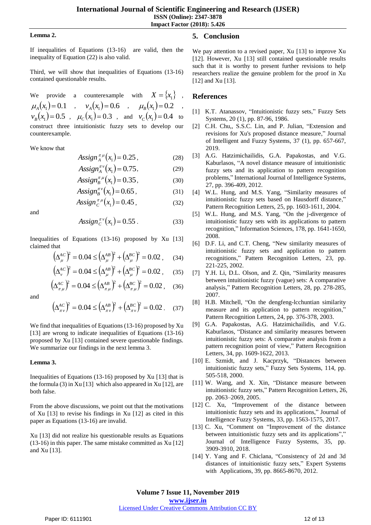**ISSN (Online): 2347-3878**

**Impact Factor (2018): 5.426**

#### **Lemma 2.**

If inequalities of Equations (13-16) are valid, then the inequality of Equation (22) is also valid.

Third, we will show that inequalities of Equations (13-16) contained questionable results.

We provide a counterexample with  $X = \{x_1\}$ ,  $\mu_A(x_1) = 0.1$ ,  $v_A(x_1) = 0.6$ ,  $\mu_B(x_1) = 0.2$ ,  $v_B(x_1) = 0.5$ ,  $\mu_C(x_1) = 0.3$ , and  $v_C(x_1) = 0.4$  to construct three intuitionistic fuzzy sets to develop our counterexample.

We know that

$$
Assign_A^{\pi\mu}(x_1) = 0.25, \qquad (28)
$$

$$
Assign_A^{\pi \nu}(x_1) = 0.75, \tag{29}
$$

$$
Assign_B^{\pi\mu}(x_1) = 0.35, \qquad (30)
$$

$$
Assign_B^{\pi \nu}(x_1) = 0.65, \qquad (31)
$$

$$
Assign_C^{\pi\mu}(x_1) = 0.45 , \qquad (32)
$$

and

$$
Assign_C^{\pi \nu}(x_1) = 0.55 . \tag{33}
$$

Inequalities of Equations (13-16) proposed by Xu [13] claimed that

$$
\left(\Delta_{\mu}^{AC}\right)^{2} = 0.04 \le \left(\Delta_{\mu}^{AB}\right)^{2} + \left(\Delta_{\mu}^{BC}\right)^{2} = 0.02\,,\qquad(34)
$$

$$
\left(\Delta_{\nu}^{AC}\right)^{2} = 0.04 \le \left(\Delta_{\mu}^{AB}\right)^{2} + \left(\Delta_{\mu}^{BC}\right)^{2} = 0.02\,,\qquad(35)
$$

$$
\left(\Delta_{\pi\,\mu}^{AC}\right)^2 = 0.04 \le \left(\Delta_{\pi\,\mu}^{AB}\right)^2 + \left(\Delta_{\pi\,\mu}^{BC}\right)^2 = 0.02\,,\tag{36}
$$

and

$$
\left(\Delta_{\pi \nu}^{AC}\right)^2 = 0.04 \le \left(\Delta_{\pi \nu}^{AB}\right)^2 + \left(\Delta_{\pi \nu}^{BC}\right)^2 = 0.02 \ . \tag{37}
$$

We find that inequalities of Equations (13-16) proposed by Xu [13] are wrong to indicate inequalities of Equations (13-16) proposed by Xu [13] contained severe questionable findings. We summarize our findings in the next lemma 3.

#### **Lemma 3.**

Inequalities of Equations (13-16) proposed by Xu [13] that is the formula (3) in Xu [13] which also appeared in Xu [12], are both false.

From the above discussions, we point out that the motivations of Xu [13] to revise his findings in Xu [12] as cited in this paper as Equations (13-16) are invalid.

Xu [13] did not realize his questionable results as Equations (13-16) in this paper. The same mistake committed as Xu [12] and Xu [13].

# **5. Conclusion**

We pay attention to a revised paper, Xu [13] to improve Xu [12]. However, Xu [13] still contained questionable results such that it is worthy to present further revisions to help researchers realize the genuine problem for the proof in Xu [12] and Xu [13].

#### **References**

- [1] K.T. Atanassov, "Intuitionistic fuzzy sets," Fuzzy Sets Systems, 20 (1), pp. 87-96, 1986.
- [2] C.H. Chu,, S.S.C. Lin, and P. Julian, "Extension and revisions for Xu's proposed distance measure," Journal of Intelligent and Fuzzy Systems, 37 (1), pp. 657-667, 2019.
- [3] A.G. Hatzimichailidis, G.A. Papakostas, and V.G. Kaburlasos, "A novel distance measure of intuitionistic fuzzy sets and its application to pattern recognition problems," International Journal of Intelligence Systems, 27, pp. 396-409, 2012.
- [4] W.L. Hung, and M.S. Yang, "Similarity measures of intuitionistic fuzzy sets based on Hausdorff distance," Pattern Recognition Letters, 25, pp. 1603-1611, 2004.
- [5] W.L. Hung, and M.S. Yang, "On the j-divergence of intuitionistic fuzzy sets with its applications to pattern recognition," Information Sciences, 178, pp. 1641-1650, 2008.
- [6] D.F. Li, and C.T. Cheng, "New similarity measures of intuitionistic fuzzy sets and application to pattern recognitions," Pattern Recognition Letters, 23, pp. 221-225, 2002.
- [7] Y.H. Li, D.L. Olson, and Z. Qin, "Similarity measures between intuitionistic fuzzy (vague) sets: A comparative analysis," Pattern Recognition Letters, 28, pp. 278-285, 2007.
- [8] H.B. Mitchell, "On the dengfeng-lcchuntian similarity measure and its application to pattern recognition," Pattern Recognition Letters, 24, pp. 376-378, 2003.
- [9] G.A. Papakostas, A.G. Hatzimichailidis, and V.G. Kaburlasos, "Distance and similarity measures between intuitionistic fuzzy sets: A comparative analysis from a pattern recognition point of view," Pattern Recognition Letters, 34, pp. 1609-1622, 2013.
- [10] E. Szmidt, and J. Kacprzyk, "Distances between intuitionistic fuzzy sets," Fuzzy Sets Systems, 114, pp. 505-518, 2000.
- [11] W. Wang, and X. Xin, "Distance measure between intuitionistic fuzzy sets," Pattern Recognition Letters, 26, pp. 2063–2069, 2005.
- [12] C. Xu, "Improvement of the distance between intuitionistic fuzzy sets and its applications," Journal of Intelligence Fuzzy Systems, 33, pp. 1563-1575, 2017.
- [13] C. Xu, "Comment on "Improvement of the distance between intuitionistic fuzzy sets and its applications"," Journal of Intelligence Fuzzy Systems, 35, pp. 3909-3910, 2018.
- [14] Y. Yang and F. Chiclana, "Consistency of 2d and 3d distances of intuitionistic fuzzy sets," Expert Systems with Applications, 39, pp. 8665-8670, 2012.

# Licensed Under Creative Commons Attribution CC BY